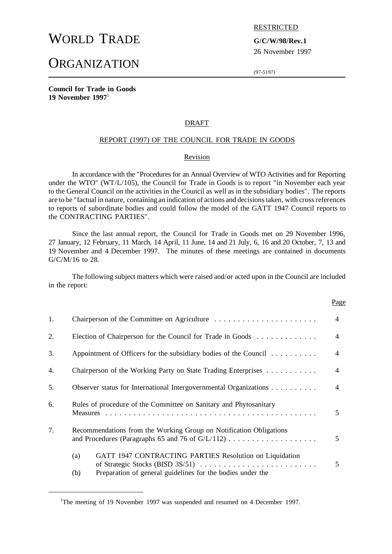# WORLD TRADE **G/C/W/98/Rev.1**

# **ORGANIZATION**

RESTRICTED

26 November 1997

Page

(97-5197)

**Council for Trade in Goods 19 November 1997**<sup>1</sup>

#### DRAFT

#### REPORT (1997) OF THE COUNCIL FOR TRADE IN GOODS

#### Revision

In accordance with the "Procedures for an Annual Overview of WTO Activities and for Reporting under the WTO" (WT/L/105), the Council for Trade in Goods is to report "in November each year to the General Council on the activities in the Council as well as in the subsidiary bodies". The reports are to be "factual in nature, containing an indication of actions and decisions taken, with cross references to reports of subordinate bodies and could follow the model of the GATT 1947 Council reports to the CONTRACTING PARTIES".

Since the last annual report, the Council for Trade in Goods met on 29 November 1996, 27 January, 12 February, 11 March, 14 April, 11 June, 14 and 21 July, 6, 16 and 20 October, 7, 13 and 19 November and 4 December 1997. The minutes of these meetings are contained in documents G/C/M/16 to 28.

The following subject matters which were raised and/or acted upon in the Council are included in the report:

| 1. |                                                                                                                                     |   |  |  |
|----|-------------------------------------------------------------------------------------------------------------------------------------|---|--|--|
| 2. | Election of Chairperson for the Council for Trade in Goods                                                                          |   |  |  |
| 3. | Appointment of Officers for the subsidiary bodies of the Council                                                                    |   |  |  |
| 4. | Chairperson of the Working Party on State Trading Enterprises                                                                       |   |  |  |
| 5. | Observer status for International Intergovernmental Organizations                                                                   |   |  |  |
| 6. | Rules of procedure of the Committee on Sanitary and Phytosanitary                                                                   |   |  |  |
| 7. | Recommendations from the Working Group on Notification Obligations                                                                  |   |  |  |
|    | GATT 1947 CONTRACTING PARTIES Resolution on Liquidation<br>(a)<br>Preparation of general guidelines for the bodies under the<br>(b) | 5 |  |  |

<sup>&</sup>lt;sup>1</sup>The meeting of 19 November 1997 was suspended and resumed on 4 December 1997.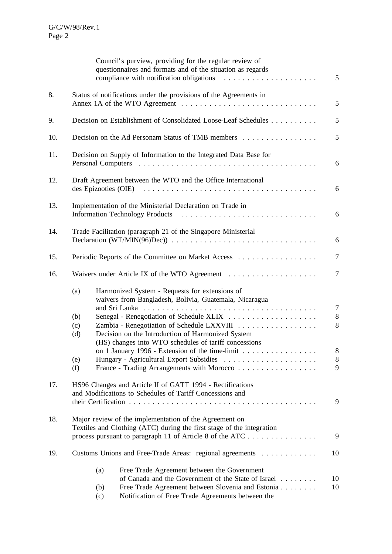|     | Council's purview, providing for the regular review of<br>questionnaires and formats and of the situation as regards                                                                                                                                                                                                                                       | $5\overline{)}$                         |  |  |  |
|-----|------------------------------------------------------------------------------------------------------------------------------------------------------------------------------------------------------------------------------------------------------------------------------------------------------------------------------------------------------------|-----------------------------------------|--|--|--|
| 8.  | Status of notifications under the provisions of the Agreements in                                                                                                                                                                                                                                                                                          | 5                                       |  |  |  |
| 9.  | Decision on Establishment of Consolidated Loose-Leaf Schedules                                                                                                                                                                                                                                                                                             | 5                                       |  |  |  |
| 10. | Decision on the Ad Personam Status of TMB members                                                                                                                                                                                                                                                                                                          |                                         |  |  |  |
| 11. | Decision on Supply of Information to the Integrated Data Base for                                                                                                                                                                                                                                                                                          |                                         |  |  |  |
| 12. | Draft Agreement between the WTO and the Office International<br>6                                                                                                                                                                                                                                                                                          |                                         |  |  |  |
| 13. | Implementation of the Ministerial Declaration on Trade in<br>6                                                                                                                                                                                                                                                                                             |                                         |  |  |  |
| 14. | Trade Facilitation (paragraph 21 of the Singapore Ministerial                                                                                                                                                                                                                                                                                              |                                         |  |  |  |
| 15. | Periodic Reports of the Committee on Market Access                                                                                                                                                                                                                                                                                                         | $\overline{7}$                          |  |  |  |
| 16. | Waivers under Article IX of the WTO Agreement                                                                                                                                                                                                                                                                                                              |                                         |  |  |  |
|     | Harmonized System - Requests for extensions of<br>(a)<br>waivers from Bangladesh, Bolivia, Guatemala, Nicaragua<br>(b)<br>Zambia - Renegotiation of Schedule LXXVIII<br>(c)<br>Decision on the Introduction of Harmonized System<br>(d)<br>(HS) changes into WTO schedules of tariff concessions<br>on 1 January 1996 - Extension of the time-limit<br>(e) | $\tau$<br>8<br>8<br>$8\phantom{1}$<br>8 |  |  |  |
| 17. | (f)<br>HS96 Changes and Article II of GATT 1994 - Rectifications                                                                                                                                                                                                                                                                                           | 9                                       |  |  |  |
|     | and Modifications to Schedules of Tariff Concessions and                                                                                                                                                                                                                                                                                                   | 9                                       |  |  |  |
| 18. | Major review of the implementation of the Agreement on<br>Textiles and Clothing (ATC) during the first stage of the integration<br>process pursuant to paragraph 11 of Article 8 of the ATC<br>9                                                                                                                                                           |                                         |  |  |  |
| 19. | Customs Unions and Free-Trade Areas: regional agreements                                                                                                                                                                                                                                                                                                   | 10                                      |  |  |  |
|     | Free Trade Agreement between the Government<br>(a)<br>of Canada and the Government of the State of Israel<br>Free Trade Agreement between Slovenia and Estonia<br>(b)<br>Notification of Free Trade Agreements between the<br>(c)                                                                                                                          | 10<br>10                                |  |  |  |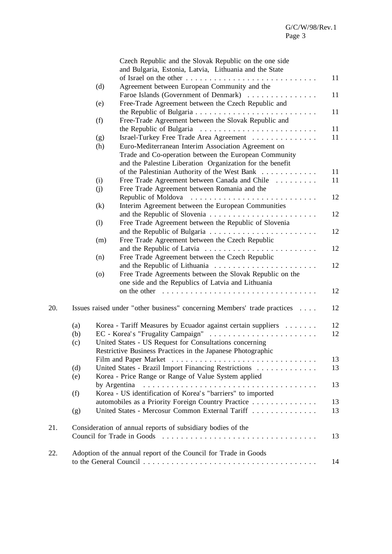|     |     | Czech Republic and the Slovak Republic on the one side                   |    |
|-----|-----|--------------------------------------------------------------------------|----|
|     |     | and Bulgaria, Estonia, Latvia, Lithuania and the State                   |    |
|     |     |                                                                          | 11 |
|     |     | (d)<br>Agreement between European Community and the                      |    |
|     |     | Faroe Islands (Government of Denmark)                                    | 11 |
|     |     | Free-Trade Agreement between the Czech Republic and<br>(e)               |    |
|     |     |                                                                          | 11 |
|     |     | Free-Trade Agreement between the Slovak Republic and<br>(f)              |    |
|     |     |                                                                          | 11 |
|     |     | Israel-Turkey Free Trade Area Agreement<br>(g)                           | 11 |
|     |     | Euro-Mediterranean Interim Association Agreement on<br>(h)               |    |
|     |     | Trade and Co-operation between the European Community                    |    |
|     |     | and the Palestine Liberation Organization for the benefit                |    |
|     |     | of the Palestinian Authority of the West Bank                            | 11 |
|     |     | Free Trade Agreement between Canada and Chile<br>(i)                     | 11 |
|     |     | Free Trade Agreement between Romania and the<br>(j)                      |    |
|     |     |                                                                          | 12 |
|     |     | (k)<br>Interim Agreement between the European Communities                |    |
|     |     |                                                                          | 12 |
|     |     | Free Trade Agreement between the Republic of Slovenia<br>(1)             |    |
|     |     |                                                                          | 12 |
|     |     | Free Trade Agreement between the Czech Republic<br>(m)                   | 12 |
|     |     |                                                                          |    |
|     |     | Free Trade Agreement between the Czech Republic<br>(n)                   | 12 |
|     |     | Free Trade Agreements between the Slovak Republic on the<br>$\circ$      |    |
|     |     | one side and the Republics of Latvia and Lithuania                       |    |
|     |     |                                                                          | 12 |
|     |     |                                                                          |    |
| 20. |     | Issues raised under "other business" concerning Members' trade practices | 12 |
|     |     |                                                                          |    |
|     | (a) | Korea - Tariff Measures by Ecuador against certain suppliers             | 12 |
|     | (b) |                                                                          | 12 |
|     | (c) | United States - US Request for Consultations concerning                  |    |
|     |     | Restrictive Business Practices in the Japanese Photographic              |    |
|     |     |                                                                          | 13 |
|     | (d) | United States - Brazil Import Financing Restrictions                     | 13 |
|     | (e) | Korea - Price Range or Range of Value System applied                     |    |
|     |     |                                                                          | 13 |
|     | (f) | Korea - US identification of Korea's "barriers" to imported              |    |
|     |     | automobiles as a Priority Foreign Country Practice                       | 13 |
|     | (g) | United States - Mercosur Common External Tariff                          | 13 |
|     |     |                                                                          |    |
| 21. |     | Consideration of annual reports of subsidiary bodies of the              |    |
|     |     |                                                                          | 13 |
| 22. |     | Adoption of the annual report of the Council for Trade in Goods          |    |
|     |     |                                                                          | 14 |
|     |     |                                                                          |    |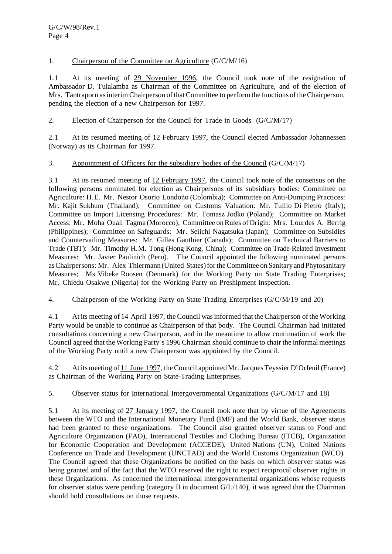# 1. Chairperson of the Committee on Agriculture (G/C/M/16)

1.1 At its meeting of 29 November 1996, the Council took note of the resignation of Ambassador D. Tulalamba as Chairman of the Committee on Agriculture, and of the election of Mrs. Tantraporn as interim Chairperson of that Committee to perform the functions of the Chairperson, pending the election of a new Chairperson for 1997.

# 2. Election of Chairperson for the Council for Trade in Goods  $(G/C/M/17)$

2.1 At its resumed meeting of 12 February 1997, the Council elected Ambassador Johannessen (Norway) as its Chairman for 1997.

# 3. Appointment of Officers for the subsidiary bodies of the Council (G/C/M/17)

3.1 At its resumed meeting of 12 February 1997, the Council took note of the consensus on the following persons nominated for election as Chairpersons of its subsidiary bodies: Committee on Agriculture: H.E. Mr. Nestor Osorio Londoño (Colombia); Committee on Anti-Dumping Practices: Mr. Kajit Sukhum (Thailand); Committee on Customs Valuation: Mr. Tullio Di Pietro (Italy); Committee on Import Licensing Procedures: Mr. Tomasz Jodko (Poland); Committee on Market Access: Mr. Moha Ouali Tagma (Morocco); Committee on Rules of Origin: Mrs. Lourdes A. Berrig (Philippines); Committee on Safeguards: Mr. Seiichi Nagatsuka (Japan); Committee on Subsidies and Countervailing Measures: Mr. Gilles Gauthier (Canada); Committee on Technical Barriers to Trade (TBT): Mr. Timothy H.M. Tong (Hong Kong, China); Committee on Trade-Related Investment Measures: Mr. Javier Paulinich (Peru). The Council appointed the following nominated persons as Chairpersons: Mr. Alex Thiermann (United States) for the Committee on Sanitary and Phytosanitary Measures; Ms Vibeke Roosen (Denmark) for the Working Party on State Trading Enterprises; Mr. Chiedu Osakwe (Nigeria) for the Working Party on Preshipment Inspection.

# 4. Chairperson of the Working Party on State Trading Enterprises (G/C/M/19 and 20)

4.1 At its meeting of 14 April 1997, the Council wasinformed that the Chairperson of the Working Party would be unable to continue as Chairperson of that body. The Council Chairman had initiated consultations concerning a new Chairperson, and in the meantime to allow continuation of work the Council agreed that the Working Party's 1996 Chairman should continue to chair the informal meetings of the Working Party until a new Chairperson was appointed by the Council.

4.2 At itsmeeting of 11 June 1997, theCouncil appointed Mr.JacquesTeyssier D'Orfeuil(France) as Chairman of the Working Party on State-Trading Enterprises.

# 5. Observer status for International Intergovernmental Organizations (G/C/M/17 and 18)

5.1 At its meeting of 27 January 1997, the Council took note that by virtue of the Agreements between the WTO and the International Monetary Fund (IMF) and the World Bank, observer status had been granted to these organizations. The Council also granted observer status to Food and Agriculture Organization (FAO), International Textiles and Clothing Bureau (ITCB), Organization for Economic Cooperation and Development (ACCEDE), United Nations (UN), United Nations Conference on Trade and Development (UNCTAD) and the World Customs Organization (WCO). The Council agreed that these Organizations be notified on the basis on which observer status was being granted and of the fact that the WTO reserved the right to expect reciprocal observer rights in these Organizations. As concerned the international intergovernmental organizations whose requests for observer status were pending (category II in document  $G/L/140$ ), it was agreed that the Chairman should hold consultations on those requests.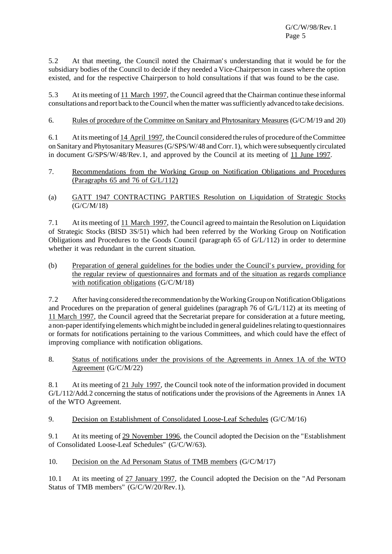5.2 At that meeting, the Council noted the Chairman's understanding that it would be for the subsidiary bodies of the Council to decide if they needed a Vice-Chairperson in cases where the option existed, and for the respective Chairperson to hold consultations if that was found to be the case.

5.3 At its meeting of 11 March 1997, the Council agreed that the Chairman continue these informal consultations and report back to theCouncil when thematter wassufficiently advanced to take decisions.

# 6. Rules of procedure of the Committee on Sanitary and Phytosanitary Measures(G/C/M/19 and 20)

6.1 At its meeting of 14 April 1997, the Council considered the rules of procedure of the Committee on Sanitary and Phytosanitary Measures (G/SPS/W/48 and Corr.1), which were subsequently circulated in document G/SPS/W/48/Rev.1, and approved by the Council at its meeting of 11 June 1997.

- 7. Recommendations from the Working Group on Notification Obligations and Procedures (Paragraphs 65 and 76 of G/L/112)
- (a) GATT 1947 CONTRACTING PARTIES Resolution on Liquidation of Strategic Stocks (G/C/M/18)

7.1 At its meeting of 11 March 1997, the Council agreed to maintain the Resolution on Liquidation of Strategic Stocks (BISD 3S/51) which had been referred by the Working Group on Notification Obligations and Procedures to the Goods Council (paragraph 65 of G/L/112) in order to determine whether it was redundant in the current situation.

(b) Preparation of general guidelines for the bodies under the Council's purview, providing for the regular review of questionnaires and formats and of the situation as regards compliance with notification obligations (G/C/M/18)

7.2 After having considered the recommendation by theWorking Group on NotificationObligations and Procedures on the preparation of general guidelines (paragraph 76 of G/L/112) at its meeting of 11 March 1997, the Council agreed that the Secretariat prepare for consideration at a future meeting, a non-paper identifying elements which might be included in general guidelines relating to questionnaires or formats for notifications pertaining to the various Committees, and which could have the effect of improving compliance with notification obligations.

8. Status of notifications under the provisions of the Agreements in Annex 1A of the WTO Agreement (G/C/M/22)

8.1 At its meeting of 21 July 1997, the Council took note of the information provided in document G/L/112/Add.2 concerning the status of notifications under the provisions of the Agreements in Annex 1A of the WTO Agreement.

9. Decision on Establishment of Consolidated Loose-Leaf Schedules (G/C/M/16)

9.1 At its meeting of 29 November 1996, the Council adopted the Decision on the "Establishment of Consolidated Loose-Leaf Schedules" (G/C/W/63).

10. Decision on the Ad Personam Status of TMB members (G/C/M/17)

10.1 At its meeting of 27 January 1997, the Council adopted the Decision on the "Ad Personam Status of TMB members" (G/C/W/20/Rev.1).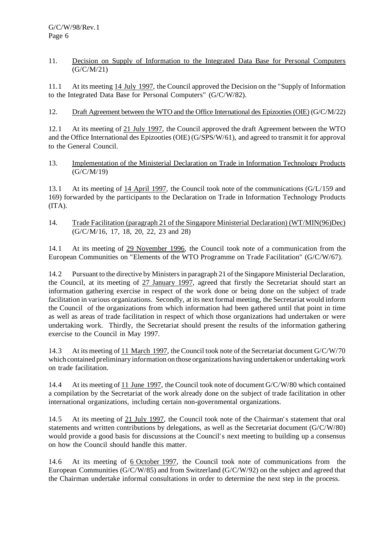#### 11. Decision on Supply of Information to the Integrated Data Base for Personal Computers (G/C/M/21)

11.1 At its meeting 14 July 1997, the Council approved the Decision on the "Supply of Information to the Integrated Data Base for Personal Computers" (G/C/W/82).

12. Draft Agreement between the WTO and the Office International des Epizooties(OIE) (G/C/M/22)

12.1 At its meeting of 21 July 1997, the Council approved the draft Agreement between the WTO and the Office International des Epizooties (OIE) (G/SPS/W/61), and agreed to transmit it for approval to the General Council.

13. Implementation of the Ministerial Declaration on Trade in Information Technology Products (G/C/M/19)

13.1 At its meeting of 14 April 1997, the Council took note of the communications (G/L/159 and 169) forwarded by the participants to the Declaration on Trade in Information Technology Products (ITA).

14. Trade Facilitation (paragraph 21 of the Singapore Ministerial Declaration) (WT/MIN(96)Dec) (G/C/M/16, 17, 18, 20, 22, 23 and 28)

14.1 At its meeting of 29 November 1996, the Council took note of a communication from the European Communities on "Elements of the WTO Programme on Trade Facilitation" (G/C/W/67).

14.2 Pursuant to the directive by Ministersin paragraph 21 of the Singapore Ministerial Declaration, the Council, at its meeting of 27 January 1997, agreed that firstly the Secretariat should start an information gathering exercise in respect of the work done or being done on the subject of trade facilitation in various organizations. Secondly, at its next formal meeting, the Secretariat would inform the Council of the organizations from which information had been gathered until that point in time as well as areas of trade facilitation in respect of which those organizations had undertaken or were undertaking work. Thirdly, the Secretariat should present the results of the information gathering exercise to the Council in May 1997.

14.3 At its meeting of 11 March 1997, the Council took note of the Secretariat document G/C/W/70 which contained preliminary information on those organizations having undertaken or undertaking work on trade facilitation.

14.4 At its meeting of 11 June 1997, the Council took note of document G/C/W/80 which contained a compilation by the Secretariat of the work already done on the subject of trade facilitation in other international organizations, including certain non-governmental organizations.

14.5 At its meeting of 21 July 1997, the Council took note of the Chairman's statement that oral statements and written contributions by delegations, as well as the Secretariat document (G/C/W/80) would provide a good basis for discussions at the Council's next meeting to building up a consensus on how the Council should handle this matter.

14.6 At its meeting of 6 October 1997, the Council took note of communications from the European Communities (G/C/W/85) and from Switzerland (G/C/W/92) on the subject and agreed that the Chairman undertake informal consultations in order to determine the next step in the process.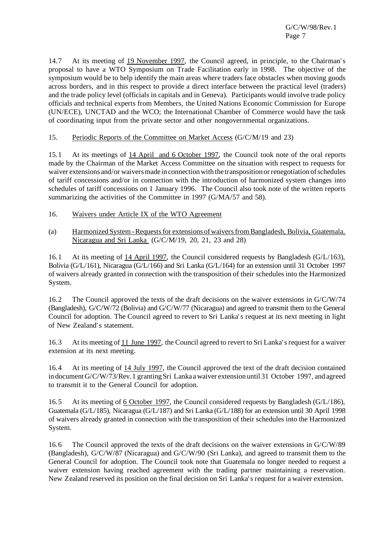G/C/W/98/Rev.1 Page 7

14.7 At its meeting of 19 November 1997, the Council agreed, in principle, to the Chairman's proposal to have a WTO Symposium on Trade Facilitation early in 1998. The objective of the symposium would be to help identify the main areas where traders face obstacles when moving goods across borders, and in this respect to provide a direct interface between the practical level (traders) and the trade policy level (officials in capitals and in Geneva). Participants would involve trade policy officials and technical experts from Members, the United Nations Economic Commission for Europe (UN/ECE), UNCTAD and the WCO; the International Chamber of Commerce would have the task of coordinating input from the private sector and other nongovernmental organizations.

#### 15. Periodic Reports of the Committee on Market Access (G/C/M/19 and 23)

15.1 At its meetings of 14 April and 6 October 1997, the Council took note of the oral reports made by the Chairman of the Market Access Committee on the situation with respect to requests for waiver extensions and/or waivers made in connection with the transposition or renegotiation of schedules of tariff concessions and/or in connection with the introduction of harmonized system changes into schedules of tariff concessions on 1 January 1996. The Council also took note of the written reports summarizing the activities of the Committee in 1997 (G/MA/57 and 58).

#### 16. Waivers under Article IX of the WTO Agreement

(a) Harmonized System-Requestsfor extensions of waiversfromBangladesh,Bolivia, Guatemala, Nicaragua and Sri Lanka (G/C/M/19, 20, 21, 23 and 28)

16.1 At its meeting of 14 April 1997, the Council considered requests by Bangladesh (G/L/163), Bolivia (G/L/161), Nicaragua (G/L/166) and Sri Lanka (G/L/164) for an extension until 31 October 1997 of waivers already granted in connection with the transposition of their schedules into the Harmonized System.

16.2 The Council approved the texts of the draft decisions on the waiver extensions in G/C/W/74 (Bangladesh), G/C/W/72 (Bolivia) and G/C/W/77 (Nicaragua) and agreed to transmit them to the General Council for adoption. The Council agreed to revert to Sri Lanka's request at its next meeting in light of New Zealand's statement.

16.3 At its meeting of 11 June 1997, the Council agreed to revert to Sri Lanka's request for a waiver extension at its next meeting.

16.4 At its meeting of 14 July 1997, the Council approved the text of the draft decision contained in document G/C/W/73/Rev. 1 granting Sri Lanka a waiver extension until 31 October 1997, and agreed to transmit it to the General Council for adoption.

16.5 At its meeting of 6 October 1997, the Council considered requests by Bangladesh (G/L/186), Guatemala (G/L/185), Nicaragua (G/L/187) and Sri Lanka (G/L/188) for an extension until 30 April 1998 of waivers already granted in connection with the transposition of their schedules into the Harmonized System.

16.6 The Council approved the texts of the draft decisions on the waiver extensions in G/C/W/89 (Bangladesh), G/C/W/87 (Nicaragua) and G/C/W/90 (Sri Lanka), and agreed to transmit them to the General Council for adoption. The Council took note that Guatemala no longer needed to request a waiver extension having reached agreement with the trading partner maintaining a reservation. New Zealand reserved its position on the final decision on Sri Lanka's request for a waiver extension.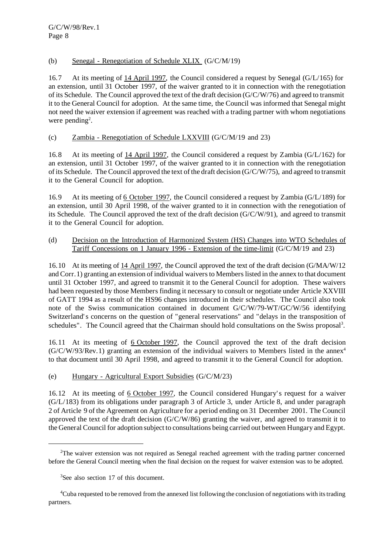# (b) Senegal - Renegotiation of Schedule XLIX (G/C/M/19)

16.7 At its meeting of 14 April 1997, the Council considered a request by Senegal (G/L/165) for an extension, until 31 October 1997, of the waiver granted to it in connection with the renegotiation of its Schedule. The Council approved the text of the draft decision (G/C/W/76) and agreed to transmit it to the General Council for adoption. At the same time, the Council was informed that Senegal might not need the waiver extension if agreement was reached with a trading partner with whom negotiations were pending<sup>2</sup>.

# (c) Zambia - Renegotiation of Schedule LXXVIII (G/C/M/19 and 23)

16.8 At its meeting of 14 April 1997, the Council considered a request by Zambia (G/L/162) for an extension, until 31 October 1997, of the waiver granted to it in connection with the renegotiation of its Schedule. The Council approved the text of the draft decision (G/C/W/75), and agreed to transmit it to the General Council for adoption.

16.9 At its meeting of 6 October 1997, the Council considered a request by Zambia (G/L/189) for an extension, until 30 April 1998, of the waiver granted to it in connection with the renegotiation of its Schedule. The Council approved the text of the draft decision (G/C/W/91), and agreed to transmit it to the General Council for adoption.

(d) Decision on the Introduction of Harmonized System (HS) Changes into WTO Schedules of Tariff Concessions on 1 January 1996 - Extension of the time-limit (G/C/M/19 and 23)

16.10 At its meeting of 14 April 1997, the Council approved the text of the draft decision (G/MA/W/12 and Corr.1) granting an extension of individual waiversto Members listed in the annex to that document until 31 October 1997, and agreed to transmit it to the General Council for adoption. These waivers had been requested by those Members finding it necessary to consult or negotiate under Article XXVIII of GATT 1994 as a result of the HS96 changes introduced in their schedules. The Council also took note of the Swiss communication contained in document G/C/W/79-WT/GC/W/56 identifying Switzerland's concerns on the question of "general reservations" and "delays in the transposition of schedules". The Council agreed that the Chairman should hold consultations on the Swiss proposal<sup>3</sup>.

16.11 At its meeting of 6 October 1997, the Council approved the text of the draft decision  $(G/C/W/93/Rev.1)$  granting an extension of the individual waivers to Members listed in the annex<sup>4</sup> to that document until 30 April 1998, and agreed to transmit it to the General Council for adoption.

# (e) Hungary - Agricultural Export Subsidies (G/C/M/23)

16.12 At its meeting of 6 October 1997, the Council considered Hungary's request for a waiver (G/L/183) from its obligations under paragraph 3 of Article 3, under Article 8, and under paragraph 2 of Article 9 of the Agreement on Agriculture for a period ending on 31 December 2001. The Council approved the text of the draft decision (G/C/W/86) granting the waiver, and agreed to transmit it to the General Council for adoption subject to consultations being carried out between Hungary and Egypt.

<sup>&</sup>lt;sup>2</sup>The waiver extension was not required as Senegal reached agreement with the trading partner concerned before the General Council meeting when the final decision on the request for waiver extension was to be adopted.

<sup>&</sup>lt;sup>3</sup>See also section 17 of this document.

<sup>4</sup>Cuba requested to be removed from the annexed list following the conclusion of negotiations with itstrading partners.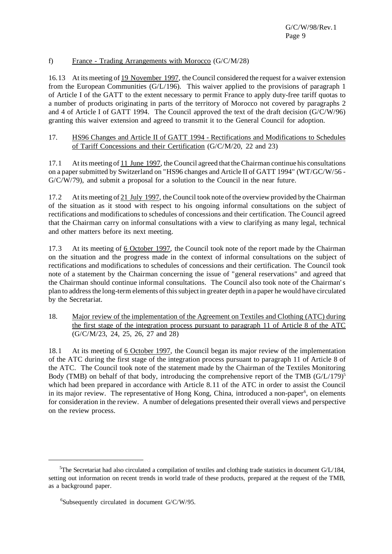# f) France - Trading Arrangements with Morocco (G/C/M/28)

16.13 At its meeting of 19 November 1997, the Council considered the request for a waiver extension from the European Communities (G/L/196). This waiver applied to the provisions of paragraph 1 of Article I of the GATT to the extent necessary to permit France to apply duty-free tariff quotas to a number of products originating in parts of the territory of Morocco not covered by paragraphs 2 and 4 of Article I of GATT 1994. The Council approved the text of the draft decision (G/C/W/96) granting this waiver extension and agreed to transmit it to the General Council for adoption.

#### 17. HS96 Changes and Article II of GATT 1994 - Rectifications and Modifications to Schedules of Tariff Concessions and their Certification (G/C/M/20, 22 and 23)

17.1 At its meeting of 11 June 1997, the Council agreed that the Chairman continue his consultations on a papersubmitted by Switzerland on "HS96 changes and Article II of GATT 1994" (WT/GC/W/56 - G/C/W/79), and submit a proposal for a solution to the Council in the near future.

17.2 At its meeting of 21 July 1997, the Council took note of the overview provided by the Chairman of the situation as it stood with respect to his ongoing informal consultations on the subject of rectifications and modifications to schedules of concessions and their certification. The Council agreed that the Chairman carry on informal consultations with a view to clarifying as many legal, technical and other matters before its next meeting.

17.3 At its meeting of 6 October 1997, the Council took note of the report made by the Chairman on the situation and the progress made in the context of informal consultations on the subject of rectifications and modifications to schedules of concessions and their certification. The Council took note of a statement by the Chairman concerning the issue of "general reservations" and agreed that the Chairman should continue informal consultations. The Council also took note of the Chairman's plan to address the long-term elements of this subject in greater depth in a paper he would have circulated by the Secretariat.

18. Major review of the implementation of the Agreement on Textiles and Clothing (ATC) during the first stage of the integration process pursuant to paragraph 11 of Article 8 of the ATC (G/C/M/23, 24, 25, 26, 27 and 28)

18.1 At its meeting of 6 October 1997, the Council began its major review of the implementation of the ATC during the first stage of the integration process pursuant to paragraph 11 of Article 8 of the ATC. The Council took note of the statement made by the Chairman of the Textiles Monitoring Body (TMB) on behalf of that body, introducing the comprehensive report of the TMB  $(G/L/179)^5$ which had been prepared in accordance with Article 8.11 of the ATC in order to assist the Council in its major review. The representative of Hong Kong, China, introduced a non-paper<sup>6</sup>, on elements for consideration in the review. A number of delegations presented their overall views and perspective on the review process.

 $5$ The Secretariat had also circulated a compilation of textiles and clothing trade statistics in document G/L/184, setting out information on recent trends in world trade of these products, prepared at the request of the TMB, as a background paper.

<sup>6</sup> Subsequently circulated in document G/C/W/95.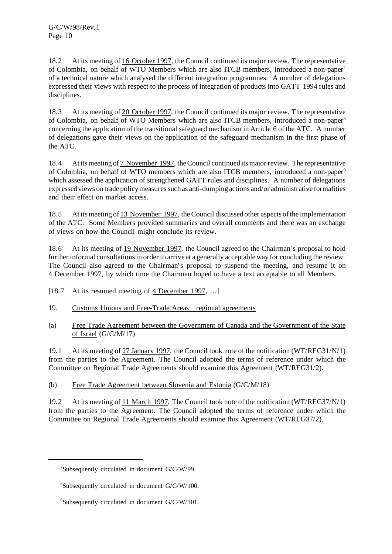18.2 At its meeting of 16 October 1997, the Council continued its major review. The representative of Colombia, on behalf of WTO Members which are also ITCB members, introduced a non-paper<sup>7</sup> of a technical nature which analysed the different integration programmes. A number of delegations expressed their views with respect to the process of integration of products into GATT 1994 rules and disciplines.

18.3 At its meeting of 20 October 1997, the Council continued its major review. The representative of Colombia, on behalf of WTO Members which are also ITCB members, introduced a non-paper<sup>8</sup> concerning the application of the transitional safeguard mechanism in Article 6 of the ATC. A number of delegations gave their views on the application of the safeguard mechanism in the first phase of the ATC.

18.4 At its meeting of 7 November 1997, the Council continued its major review. The representative of Colombia, on behalf of WTO members which are also ITCB members, introduced a non-paper<sup>9</sup> which assessed the application of strengthened GATT rules and disciplines. A number of delegations expressed views on trade policymeasuressuch as anti-dumping actions and/or administrative formalities and their effect on market access.

18.5 At its meeting of 13 November 1997, the Council discussed other aspects of the implementation of the ATC. Some Members provided summaries and overall comments and there was an exchange of views on how the Council might conclude its review.

18.6 At its meeting of 19 November 1997, the Council agreed to the Chairman's proposal to hold further informal consultations in order to arrive at a generally acceptable way for concluding the review. The Council also agreed to the Chairman's proposal to suspend the meeting, and resume it on 4 December 1997, by which time the Chairman hoped to have a text acceptable to all Members.

- [18.7 At its resumed meeting of 4 December 1997, ...]
- 19. Customs Unions and Free-Trade Areas: regional agreements
- (a) Free Trade Agreement between the Government of Canada and the Government of the State of Israel (G/C/M/17)

19.1 At its meeting of 27 January 1997, the Council took note of the notification (WT/REG31/N/1) from the parties to the Agreement. The Council adopted the terms of reference under which the Committee on Regional Trade Agreements should examine this Agreement (WT/REG31/2).

(b) Free Trade Agreement between Slovenia and Estonia (G/C/M/18)

19.2 At its meeting of 11 March 1997, The Council took note of the notification (WT/REG37/N/1) from the parties to the Agreement. The Council adopted the terms of reference under which the Committee on Regional Trade Agreements should examine this Agreement (WT/REG37/2).

<sup>&</sup>lt;sup>7</sup>Subsequently circulated in document G/C/W/99.

 $8$ Subsequently circulated in document G/C/W/100.

 $9$ Subsequently circulated in document G/C/W/101.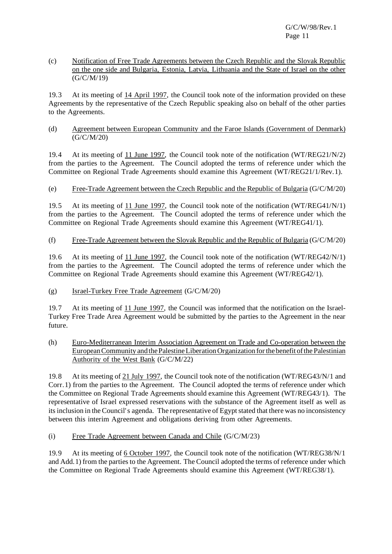G/C/W/98/Rev.1 Page 11

(c) Notification of Free Trade Agreements between the Czech Republic and the Slovak Republic on the one side and Bulgaria, Estonia, Latvia, Lithuania and the State of Israel on the other (G/C/M/19)

19.3 At its meeting of 14 April 1997, the Council took note of the information provided on these Agreements by the representative of the Czech Republic speaking also on behalf of the other parties to the Agreements.

(d) Agreement between European Community and the Faroe Islands (Government of Denmark) (G/C/M/20)

19.4 At its meeting of 11 June 1997, the Council took note of the notification (WT/REG21/N/2) from the parties to the Agreement. The Council adopted the terms of reference under which the Committee on Regional Trade Agreements should examine this Agreement (WT/REG21/1/Rev.1).

# (e) Free-Trade Agreement between the Czech Republic and the Republic of Bulgaria (G/C/M/20)

19.5 At its meeting of 11 June 1997, the Council took note of the notification (WT/REG41/N/1) from the parties to the Agreement. The Council adopted the terms of reference under which the Committee on Regional Trade Agreements should examine this Agreement (WT/REG41/1).

# (f) Free-Trade Agreement between the Slovak Republic and the Republic of Bulgaria (G/C/M/20)

19.6 At its meeting of 11 June 1997, the Council took note of the notification (WT/REG42/N/1) from the parties to the Agreement. The Council adopted the terms of reference under which the Committee on Regional Trade Agreements should examine this Agreement (WT/REG42/1).

# (g) Israel-Turkey Free Trade Agreement (G/C/M/20)

19.7 At its meeting of 11 June 1997, the Council was informed that the notification on the Israel-Turkey Free Trade Area Agreement would be submitted by the parties to the Agreement in the near future.

(h) Euro-Mediterranean Interim Association Agreement on Trade and Co-operation between the European Community and the Palestine Liberation Organization for the benefit of the Palestinian Authority of the West Bank (G/C/M/22)

19.8 At its meeting of 21 July 1997, the Council took note of the notification (WT/REG43/N/1 and Corr.1) from the parties to the Agreement. The Council adopted the terms of reference under which the Committee on Regional Trade Agreements should examine this Agreement (WT/REG43/1). The representative of Israel expressed reservations with the substance of the Agreement itself as well as its inclusion in the Council's agenda. The representative of Egypt stated that there was no inconsistency between this interim Agreement and obligations deriving from other Agreements.

# (i) Free Trade Agreement between Canada and Chile (G/C/M/23)

19.9 At its meeting of 6 October 1997, the Council took note of the notification (WT/REG38/N/1 and Add.1) from the parties to the Agreement. The Council adopted the terms of reference under which the Committee on Regional Trade Agreements should examine this Agreement (WT/REG38/1).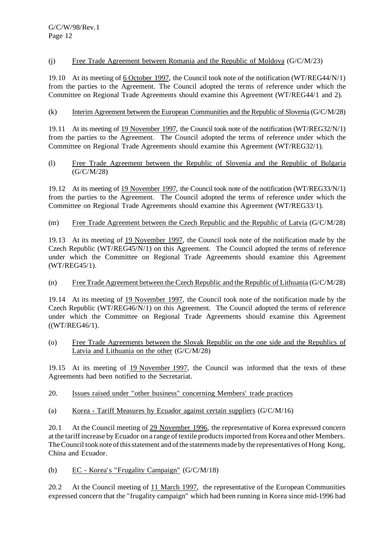# (j) Free Trade Agreement between Romania and the Republic of Moldova (G/C/M/23)

19.10 At its meeting of 6 October 1997, the Council took note of the notification (WT/REG44/N/1) from the parties to the Agreement. The Council adopted the terms of reference under which the Committee on Regional Trade Agreements should examine this Agreement (WT/REG44/1 and 2).

# (k) Interim Agreement between the European Communities and the Republic of Slovenia (G/C/M/28)

19.11 At its meeting of 19 November 1997, the Council took note of the notification (WT/REG32/N/1) from the parties to the Agreement. The Council adopted the terms of reference under which the Committee on Regional Trade Agreements should examine this Agreement (WT/REG32/1).

(l) Free Trade Agreement between the Republic of Slovenia and the Republic of Bulgaria (G/C/M/28)

19.12 At its meeting of 19 November 1997, the Council took note of the notification (WT/REG33/N/1) from the parties to the Agreement. The Council adopted the terms of reference under which the Committee on Regional Trade Agreements should examine this Agreement (WT/REG33/1).

# (m) Free Trade Agreement between the Czech Republic and the Republic of Latvia (G/C/M/28)

19.13 At its meeting of 19 November 1997, the Council took note of the notification made by the Czech Republic (WT/REG45/N/1) on this Agreement. The Council adopted the terms of reference under which the Committee on Regional Trade Agreements should examine this Agreement (WT/REG45/1).

# (n) Free Trade Agreement between the Czech Republic and the Republic of Lithuania (G/C/M/28)

19.14 At its meeting of 19 November 1997, the Council took note of the notification made by the Czech Republic (WT/REG46/N/1) on this Agreement. The Council adopted the terms of reference under which the Committee on Regional Trade Agreements should examine this Agreement ((WT/REG46/1).

(o) Free Trade Agreements between the Slovak Republic on the one side and the Republics of Latvia and Lithuania on the other (G/C/M/28)

19.15 At its meeting of 19 November 1997, the Council was informed that the texts of these Agreements had been notified to the Secretariat.

# 20. Issues raised under "other business" concerning Members' trade practices

(a) Korea - Tariff Measures by Ecuador against certain suppliers (G/C/M/16)

20.1 At the Council meeting of 29 November 1996, the representative of Korea expressed concern at the tariff increase by Ecuador on a range of textile productsimported from Korea and other Members. The Council took note of this statement and of the statements made by the representatives of Hong Kong, China and Ecuador.

(b) EC - Korea's "Frugality Campaign" (G/C/M/18)

20.2 At the Council meeting of 11 March 1997, the representative of the European Communities expressed concern that the "frugality campaign" which had been running in Korea since mid-1996 had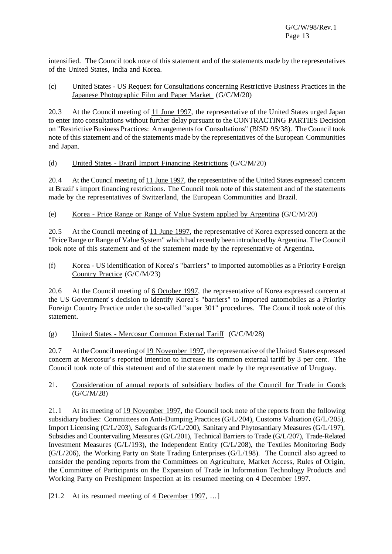intensified. The Council took note of this statement and of the statements made by the representatives of the United States, India and Korea.

#### (c) United States - US Request for Consultations concerning Restrictive Business Practices in the Japanese Photographic Film and Paper Market (G/C/M/20)

20.3 At the Council meeting of 11 June 1997, the representative of the United States urged Japan to enter into consultations without further delay pursuant to the CONTRACTING PARTIES Decision on "Restrictive Business Practices: Arrangementsfor Consultations" (BISD 9S/38). The Council took note of this statement and of the statements made by the representatives of the European Communities and Japan.

# (d) United States - Brazil Import Financing Restrictions (G/C/M/20)

20.4 At the Council meeting of 11 June 1997, the representative of the United States expressed concern at Brazil's import financing restrictions. The Council took note of this statement and of the statements made by the representatives of Switzerland, the European Communities and Brazil.

# (e) Korea - Price Range or Range of Value System applied by Argentina  $(G/C/M/20)$

20.5 At the Council meeting of 11 June 1997, the representative of Korea expressed concern at the "Price Range or Range of Value System" which had recently been introduced by Argentina. The Council took note of this statement and of the statement made by the representative of Argentina.

# (f) Korea - US identification of Korea's "barriers" to imported automobiles as a Priority Foreign Country Practice (G/C/M/23)

20.6 At the Council meeting of 6 October 1997, the representative of Korea expressed concern at the US Government's decision to identify Korea's "barriers" to imported automobiles as a Priority Foreign Country Practice under the so-called "super 301" procedures. The Council took note of this statement.

# (g) United States - Mercosur Common External Tariff (G/C/M/28)

20.7 At the Council meeting of 19 November 1997, the representative of the United States expressed concern at Mercosur's reported intention to increase its common external tariff by 3 per cent. The Council took note of this statement and of the statement made by the representative of Uruguay.

# 21. Consideration of annual reports of subsidiary bodies of the Council for Trade in Goods (G/C/M/28)

21.1 At its meeting of 19 November 1997, the Council took note of the reports from the following subsidiary bodies: Committees on Anti-Dumping Practices (G/L/204), Customs Valuation (G/L/205), Import Licensing (G/L/203), Safeguards (G/L/200), Sanitary and Phytosantiary Measures (G/L/197), Subsidies and Countervailing Measures (G/L/201), Technical Barriers to Trade (G/L/207), Trade-Related Investment Measures (G/L/193), the Independent Entity (G/L/208), the Textiles Monitoring Body (G/L/206), the Working Party on State Trading Enterprises (G/L/198). The Council also agreed to consider the pending reports from the Committees on Agriculture, Market Access, Rules of Origin, the Committee of Participants on the Expansion of Trade in Information Technology Products and Working Party on Preshipment Inspection at its resumed meeting on 4 December 1997.

# [21.2 At its resumed meeting of 4 December 1997, ...]